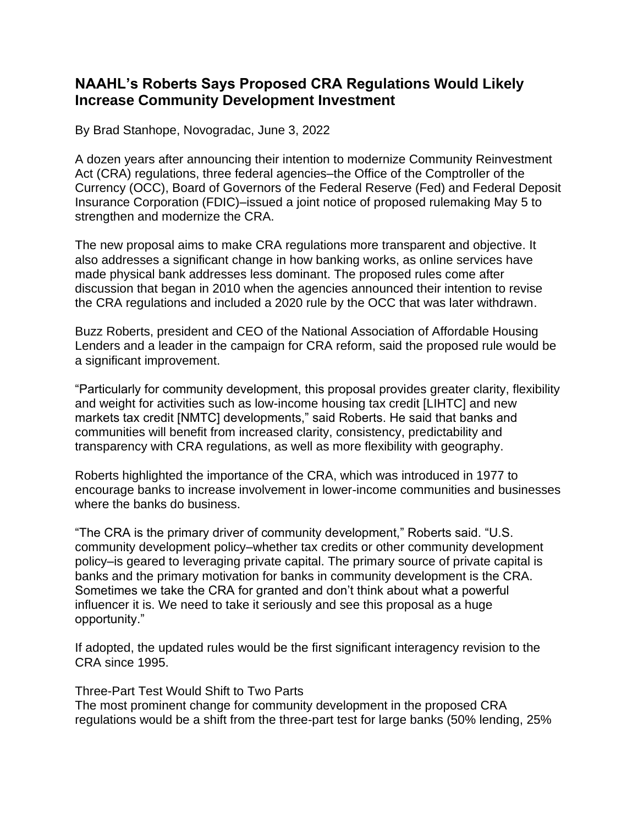## **NAAHL's Roberts Says Proposed CRA Regulations Would Likely Increase Community Development Investment**

By Brad Stanhope, Novogradac, June 3, 2022

A dozen years after announcing their intention to modernize Community Reinvestment Act (CRA) regulations, three federal agencies–the Office of the Comptroller of the Currency (OCC), Board of Governors of the Federal Reserve (Fed) and Federal Deposit Insurance Corporation (FDIC)–issued a joint notice of proposed rulemaking May 5 to strengthen and modernize the CRA.

The new proposal aims to make CRA regulations more transparent and objective. It also addresses a significant change in how banking works, as online services have made physical bank addresses less dominant. The proposed rules come after discussion that began in 2010 when the agencies announced their intention to revise the CRA regulations and included a 2020 rule by the OCC that was later withdrawn.

Buzz Roberts, president and CEO of the National Association of Affordable Housing Lenders and a leader in the campaign for CRA reform, said the proposed rule would be a significant improvement.

"Particularly for community development, this proposal provides greater clarity, flexibility and weight for activities such as low-income housing tax credit [LIHTC] and new markets tax credit [NMTC] developments," said Roberts. He said that banks and communities will benefit from increased clarity, consistency, predictability and transparency with CRA regulations, as well as more flexibility with geography.

Roberts highlighted the importance of the CRA, which was introduced in 1977 to encourage banks to increase involvement in lower-income communities and businesses where the banks do business.

"The CRA is the primary driver of community development," Roberts said. "U.S. community development policy–whether tax credits or other community development policy–is geared to leveraging private capital. The primary source of private capital is banks and the primary motivation for banks in community development is the CRA. Sometimes we take the CRA for granted and don't think about what a powerful influencer it is. We need to take it seriously and see this proposal as a huge opportunity."

If adopted, the updated rules would be the first significant interagency revision to the CRA since 1995.

Three-Part Test Would Shift to Two Parts

The most prominent change for community development in the proposed CRA regulations would be a shift from the three-part test for large banks (50% lending, 25%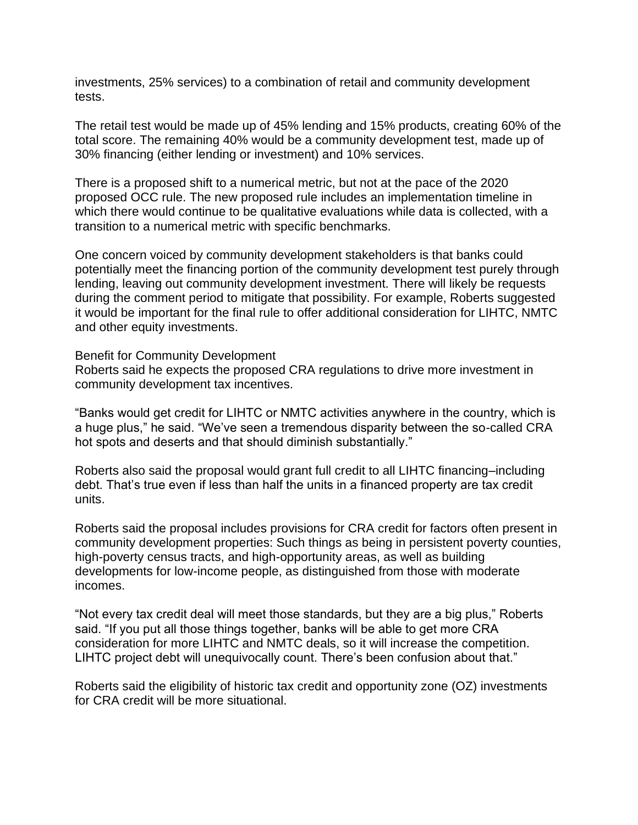investments, 25% services) to a combination of retail and community development tests.

The retail test would be made up of 45% lending and 15% products, creating 60% of the total score. The remaining 40% would be a community development test, made up of 30% financing (either lending or investment) and 10% services.

There is a proposed shift to a numerical metric, but not at the pace of the 2020 proposed OCC rule. The new proposed rule includes an implementation timeline in which there would continue to be qualitative evaluations while data is collected, with a transition to a numerical metric with specific benchmarks.

One concern voiced by community development stakeholders is that banks could potentially meet the financing portion of the community development test purely through lending, leaving out community development investment. There will likely be requests during the comment period to mitigate that possibility. For example, Roberts suggested it would be important for the final rule to offer additional consideration for LIHTC, NMTC and other equity investments.

Benefit for Community Development

Roberts said he expects the proposed CRA regulations to drive more investment in community development tax incentives.

"Banks would get credit for LIHTC or NMTC activities anywhere in the country, which is a huge plus," he said. "We've seen a tremendous disparity between the so-called CRA hot spots and deserts and that should diminish substantially."

Roberts also said the proposal would grant full credit to all LIHTC financing–including debt. That's true even if less than half the units in a financed property are tax credit units.

Roberts said the proposal includes provisions for CRA credit for factors often present in community development properties: Such things as being in persistent poverty counties, high-poverty census tracts, and high-opportunity areas, as well as building developments for low-income people, as distinguished from those with moderate incomes.

"Not every tax credit deal will meet those standards, but they are a big plus," Roberts said. "If you put all those things together, banks will be able to get more CRA consideration for more LIHTC and NMTC deals, so it will increase the competition. LIHTC project debt will unequivocally count. There's been confusion about that."

Roberts said the eligibility of historic tax credit and opportunity zone (OZ) investments for CRA credit will be more situational.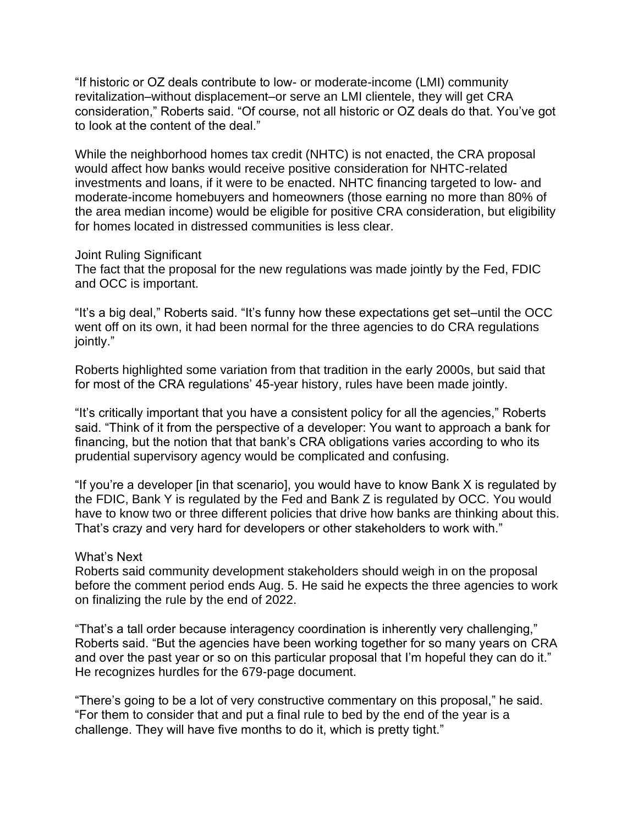"If historic or OZ deals contribute to low- or moderate-income (LMI) community revitalization–without displacement–or serve an LMI clientele, they will get CRA consideration," Roberts said. "Of course, not all historic or OZ deals do that. You've got to look at the content of the deal."

While the neighborhood homes tax credit (NHTC) is not enacted, the CRA proposal would affect how banks would receive positive consideration for NHTC-related investments and loans, if it were to be enacted. NHTC financing targeted to low- and moderate-income homebuyers and homeowners (those earning no more than 80% of the area median income) would be eligible for positive CRA consideration, but eligibility for homes located in distressed communities is less clear.

## Joint Ruling Significant

The fact that the proposal for the new regulations was made jointly by the Fed, FDIC and OCC is important.

"It's a big deal," Roberts said. "It's funny how these expectations get set–until the OCC went off on its own, it had been normal for the three agencies to do CRA regulations jointly."

Roberts highlighted some variation from that tradition in the early 2000s, but said that for most of the CRA regulations' 45-year history, rules have been made jointly.

"It's critically important that you have a consistent policy for all the agencies," Roberts said. "Think of it from the perspective of a developer: You want to approach a bank for financing, but the notion that that bank's CRA obligations varies according to who its prudential supervisory agency would be complicated and confusing.

"If you're a developer [in that scenario], you would have to know Bank X is regulated by the FDIC, Bank Y is regulated by the Fed and Bank Z is regulated by OCC. You would have to know two or three different policies that drive how banks are thinking about this. That's crazy and very hard for developers or other stakeholders to work with."

## What's Next

Roberts said community development stakeholders should weigh in on the proposal before the comment period ends Aug. 5. He said he expects the three agencies to work on finalizing the rule by the end of 2022.

"That's a tall order because interagency coordination is inherently very challenging," Roberts said. "But the agencies have been working together for so many years on CRA and over the past year or so on this particular proposal that I'm hopeful they can do it." He recognizes hurdles for the 679-page document.

"There's going to be a lot of very constructive commentary on this proposal," he said. "For them to consider that and put a final rule to bed by the end of the year is a challenge. They will have five months to do it, which is pretty tight."